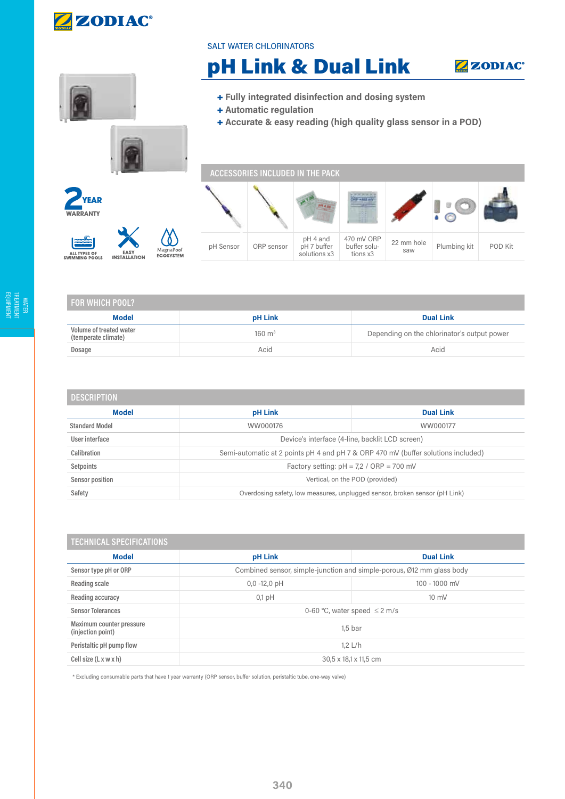

## SALT WATER CHLORINATORS

## pH Link & Dual Link





| l for which pool?                              |                   |                                             |  |  |  |
|------------------------------------------------|-------------------|---------------------------------------------|--|--|--|
| <b>Model</b>                                   | <b>pH Link</b>    | <b>Dual Link</b>                            |  |  |  |
| Volume of treated water<br>(temperate climate) | $160 \text{ m}^3$ | Depending on the chlorinator's output power |  |  |  |
| Dosage                                         | Acid              | Acid                                        |  |  |  |
|                                                |                   |                                             |  |  |  |

| <b>DESCRIPTION</b>    |                                                                                   |                  |  |  |  |
|-----------------------|-----------------------------------------------------------------------------------|------------------|--|--|--|
| <b>Model</b>          | pH Link                                                                           | <b>Dual Link</b> |  |  |  |
| <b>Standard Model</b> | WW000176                                                                          | WW000177         |  |  |  |
| User interface        | Device's interface (4-line, backlit LCD screen)                                   |                  |  |  |  |
| Calibration           | Semi-automatic at 2 points pH 4 and pH 7 & ORP 470 mV (buffer solutions included) |                  |  |  |  |
| Setpoints             | Factory setting: $pH = 7.2 / ORP = 700$ mV                                        |                  |  |  |  |
| Sensor position       | Vertical, on the POD (provided)                                                   |                  |  |  |  |
| Safety                | Overdosing safety, low measures, unplugged sensor, broken sensor (pH Link)        |                  |  |  |  |

| <b>TECHNICAL SPECIFICATIONS</b>               |                                                                       |                  |  |  |  |
|-----------------------------------------------|-----------------------------------------------------------------------|------------------|--|--|--|
| <b>Model</b>                                  | pH Link                                                               | <b>Dual Link</b> |  |  |  |
| Sensor type pH or ORP                         | Combined sensor, simple-junction and simple-porous, Ø12 mm glass body |                  |  |  |  |
| Reading scale                                 | $0,0 -12,0$ pH                                                        | 100 - 1000 mV    |  |  |  |
| Reading accuracy                              | $0,1$ pH                                                              | $10 \text{ mV}$  |  |  |  |
| <b>Sensor Tolerances</b>                      | 0-60 °C, water speed $\leq$ 2 m/s                                     |                  |  |  |  |
| Maximum counter pressure<br>(injection point) | 1.5 <sub>bar</sub>                                                    |                  |  |  |  |
| Peristaltic pH pump flow                      | $1.2$ L/h                                                             |                  |  |  |  |
| Cell size (L x w x h)                         | 30,5 x 18,1 x 11,5 cm                                                 |                  |  |  |  |

\* Excluding consumable parts that have 1 year warranty (ORP sensor, buffer solution, peristaltic tube, one-way valve)